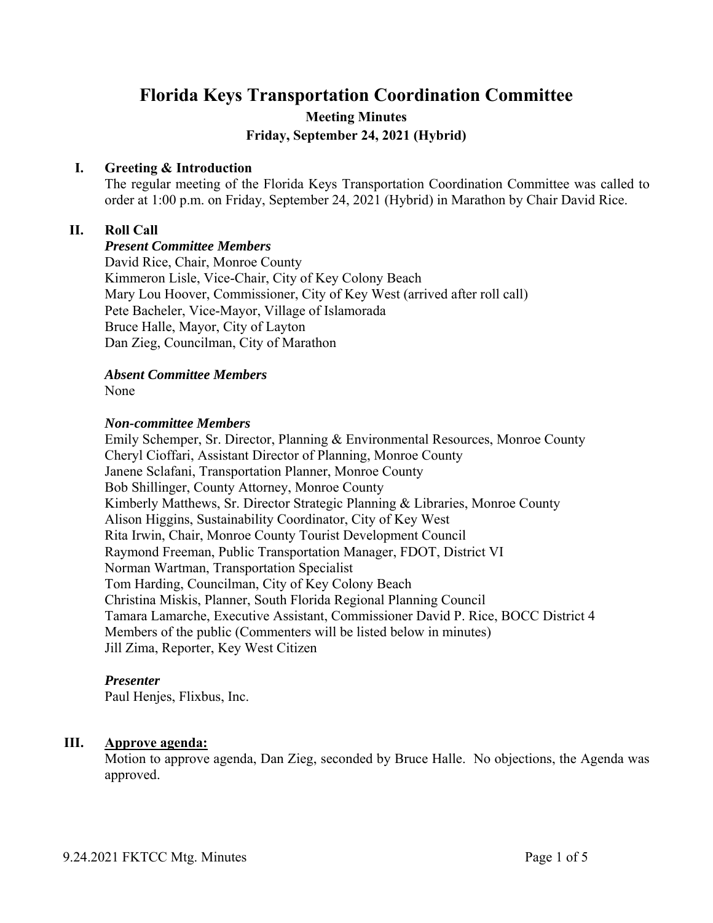# **Florida Keys Transportation Coordination Committee Meeting Minutes Friday, September 24, 2021 (Hybrid)**

## **I. Greeting & Introduction**

The regular meeting of the Florida Keys Transportation Coordination Committee was called to order at 1:00 p.m. on Friday, September 24, 2021 (Hybrid) in Marathon by Chair David Rice.

## **II. Roll Call**

*Present Committee Members* David Rice, Chair, Monroe County Kimmeron Lisle, Vice-Chair, City of Key Colony Beach Mary Lou Hoover, Commissioner, City of Key West (arrived after roll call) Pete Bacheler, Vice-Mayor, Village of Islamorada Bruce Halle, Mayor, City of Layton Dan Zieg, Councilman, City of Marathon

# *Absent Committee Members*

None

#### *Non-committee Members*

Emily Schemper, Sr. Director, Planning & Environmental Resources, Monroe County Cheryl Cioffari, Assistant Director of Planning, Monroe County Janene Sclafani, Transportation Planner, Monroe County Bob Shillinger, County Attorney, Monroe County Kimberly Matthews, Sr. Director Strategic Planning & Libraries, Monroe County Alison Higgins, Sustainability Coordinator, City of Key West Rita Irwin, Chair, Monroe County Tourist Development Council Raymond Freeman, Public Transportation Manager, FDOT, District VI Norman Wartman, Transportation Specialist Tom Harding, Councilman, City of Key Colony Beach Christina Miskis, Planner, South Florida Regional Planning Council Tamara Lamarche, Executive Assistant, Commissioner David P. Rice, BOCC District 4 Members of the public (Commenters will be listed below in minutes) Jill Zima, Reporter, Key West Citizen

### *Presenter*

Paul Henjes, Flixbus, Inc.

### **III. Approve agenda:**

Motion to approve agenda, Dan Zieg, seconded by Bruce Halle. No objections, the Agenda was approved.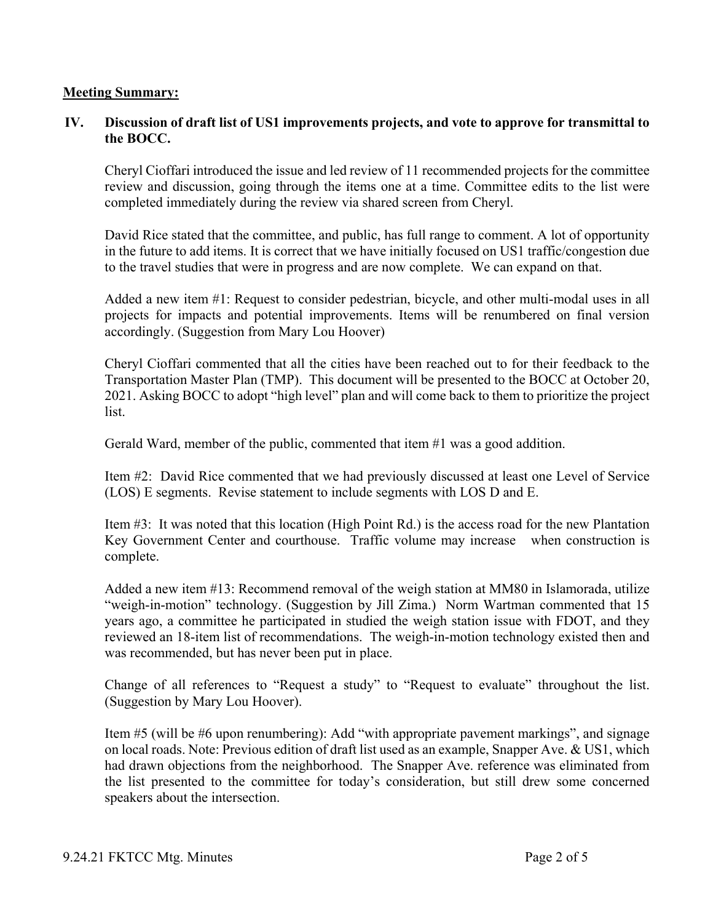## **Meeting Summary:**

# **IV. Discussion of draft list of US1 improvements projects, and vote to approve for transmittal to the BOCC.**

Cheryl Cioffari introduced the issue and led review of 11 recommended projects for the committee review and discussion, going through the items one at a time. Committee edits to the list were completed immediately during the review via shared screen from Cheryl.

David Rice stated that the committee, and public, has full range to comment. A lot of opportunity in the future to add items. It is correct that we have initially focused on US1 traffic/congestion due to the travel studies that were in progress and are now complete. We can expand on that.

Added a new item #1: Request to consider pedestrian, bicycle, and other multi-modal uses in all projects for impacts and potential improvements. Items will be renumbered on final version accordingly. (Suggestion from Mary Lou Hoover)

Cheryl Cioffari commented that all the cities have been reached out to for their feedback to the Transportation Master Plan (TMP). This document will be presented to the BOCC at October 20, 2021. Asking BOCC to adopt "high level" plan and will come back to them to prioritize the project list.

Gerald Ward, member of the public, commented that item #1 was a good addition.

Item #2: David Rice commented that we had previously discussed at least one Level of Service (LOS) E segments. Revise statement to include segments with LOS D and E.

Item #3: It was noted that this location (High Point Rd.) is the access road for the new Plantation Key Government Center and courthouse. Traffic volume may increase when construction is complete.

Added a new item #13: Recommend removal of the weigh station at MM80 in Islamorada, utilize "weigh-in-motion" technology. (Suggestion by Jill Zima.) Norm Wartman commented that 15 years ago, a committee he participated in studied the weigh station issue with FDOT, and they reviewed an 18-item list of recommendations. The weigh-in-motion technology existed then and was recommended, but has never been put in place.

Change of all references to "Request a study" to "Request to evaluate" throughout the list. (Suggestion by Mary Lou Hoover).

Item #5 (will be #6 upon renumbering): Add "with appropriate pavement markings", and signage on local roads. Note: Previous edition of draft list used as an example, Snapper Ave. & US1, which had drawn objections from the neighborhood. The Snapper Ave. reference was eliminated from the list presented to the committee for today's consideration, but still drew some concerned speakers about the intersection.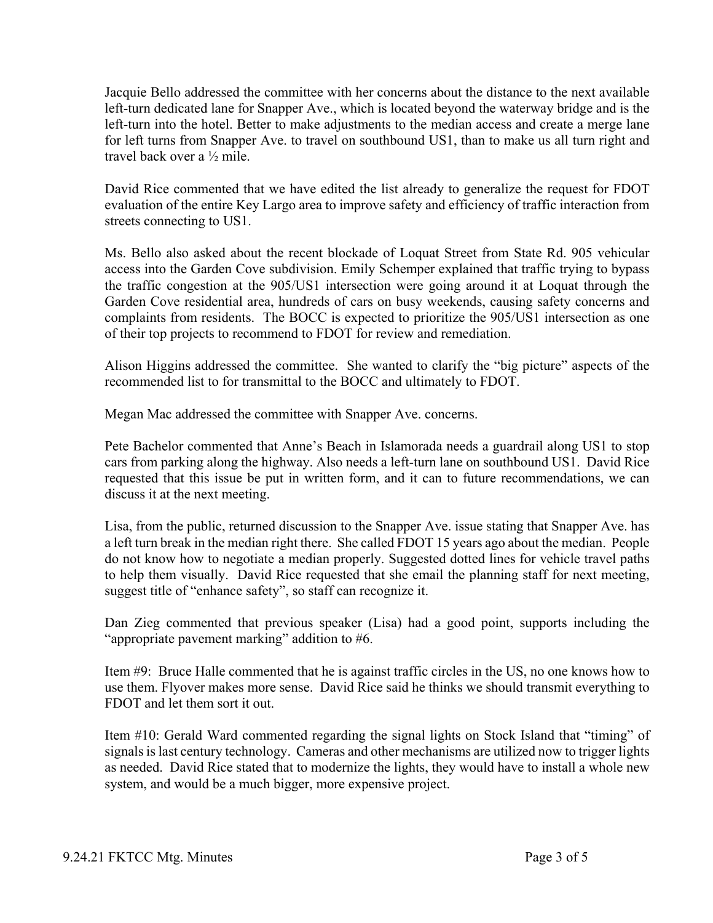Jacquie Bello addressed the committee with her concerns about the distance to the next available left-turn dedicated lane for Snapper Ave., which is located beyond the waterway bridge and is the left-turn into the hotel. Better to make adjustments to the median access and create a merge lane for left turns from Snapper Ave. to travel on southbound US1, than to make us all turn right and travel back over a ½ mile.

David Rice commented that we have edited the list already to generalize the request for FDOT evaluation of the entire Key Largo area to improve safety and efficiency of traffic interaction from streets connecting to US1.

Ms. Bello also asked about the recent blockade of Loquat Street from State Rd. 905 vehicular access into the Garden Cove subdivision. Emily Schemper explained that traffic trying to bypass the traffic congestion at the 905/US1 intersection were going around it at Loquat through the Garden Cove residential area, hundreds of cars on busy weekends, causing safety concerns and complaints from residents. The BOCC is expected to prioritize the 905/US1 intersection as one of their top projects to recommend to FDOT for review and remediation.

Alison Higgins addressed the committee. She wanted to clarify the "big picture" aspects of the recommended list to for transmittal to the BOCC and ultimately to FDOT.

Megan Mac addressed the committee with Snapper Ave. concerns.

Pete Bachelor commented that Anne's Beach in Islamorada needs a guardrail along US1 to stop cars from parking along the highway. Also needs a left-turn lane on southbound US1. David Rice requested that this issue be put in written form, and it can to future recommendations, we can discuss it at the next meeting.

Lisa, from the public, returned discussion to the Snapper Ave. issue stating that Snapper Ave. has a left turn break in the median right there. She called FDOT 15 years ago about the median. People do not know how to negotiate a median properly. Suggested dotted lines for vehicle travel paths to help them visually. David Rice requested that she email the planning staff for next meeting, suggest title of "enhance safety", so staff can recognize it.

Dan Zieg commented that previous speaker (Lisa) had a good point, supports including the "appropriate pavement marking" addition to #6.

Item #9: Bruce Halle commented that he is against traffic circles in the US, no one knows how to use them. Flyover makes more sense. David Rice said he thinks we should transmit everything to FDOT and let them sort it out.

Item #10: Gerald Ward commented regarding the signal lights on Stock Island that "timing" of signals is last century technology. Cameras and other mechanisms are utilized now to trigger lights as needed. David Rice stated that to modernize the lights, they would have to install a whole new system, and would be a much bigger, more expensive project.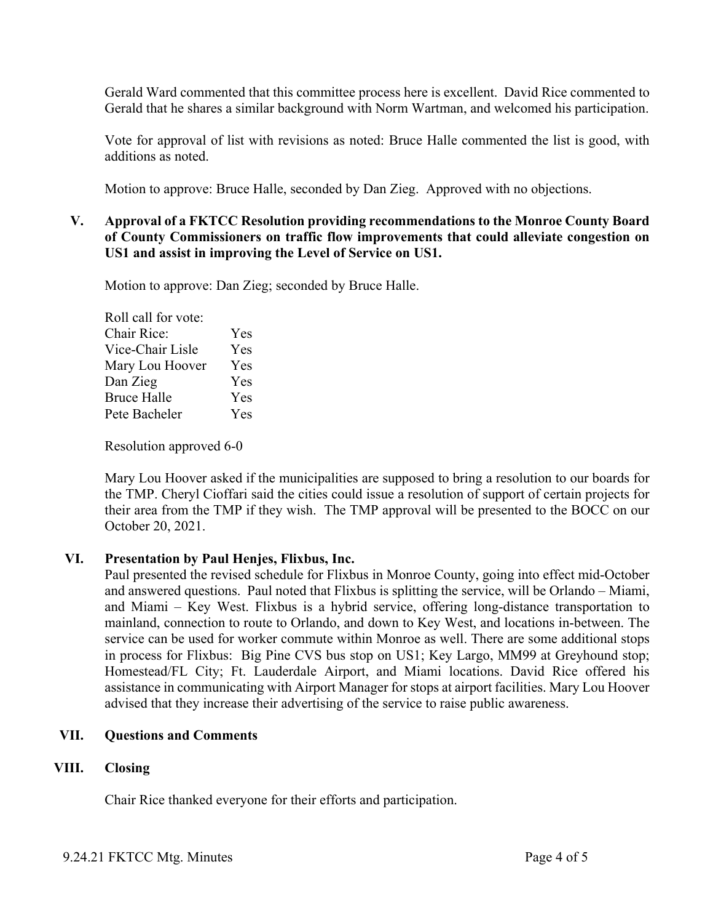Gerald Ward commented that this committee process here is excellent. David Rice commented to Gerald that he shares a similar background with Norm Wartman, and welcomed his participation.

Vote for approval of list with revisions as noted: Bruce Halle commented the list is good, with additions as noted.

Motion to approve: Bruce Halle, seconded by Dan Zieg. Approved with no objections.

# **V. Approval of a FKTCC Resolution providing recommendations to the Monroe County Board of County Commissioners on traffic flow improvements that could alleviate congestion on US1 and assist in improving the Level of Service on US1.**

Motion to approve: Dan Zieg; seconded by Bruce Halle.

Roll call for vote: Chair Rice: Yes Vice-Chair Lisle Yes Mary Lou Hoover Yes Dan Zieg Yes Bruce Halle Yes Pete Bacheler Yes

Resolution approved 6-0

Mary Lou Hoover asked if the municipalities are supposed to bring a resolution to our boards for the TMP. Cheryl Cioffari said the cities could issue a resolution of support of certain projects for their area from the TMP if they wish. The TMP approval will be presented to the BOCC on our October 20, 2021.

# **VI. Presentation by Paul Henjes, Flixbus, Inc.**

Paul presented the revised schedule for Flixbus in Monroe County, going into effect mid-October and answered questions. Paul noted that Flixbus is splitting the service, will be Orlando – Miami, and Miami – Key West. Flixbus is a hybrid service, offering long-distance transportation to mainland, connection to route to Orlando, and down to Key West, and locations in-between. The service can be used for worker commute within Monroe as well. There are some additional stops in process for Flixbus: Big Pine CVS bus stop on US1; Key Largo, MM99 at Greyhound stop; Homestead/FL City; Ft. Lauderdale Airport, and Miami locations. David Rice offered his assistance in communicating with Airport Manager for stops at airport facilities. Mary Lou Hoover advised that they increase their advertising of the service to raise public awareness.

# **VII. Questions and Comments**

# **VIII. Closing**

Chair Rice thanked everyone for their efforts and participation.